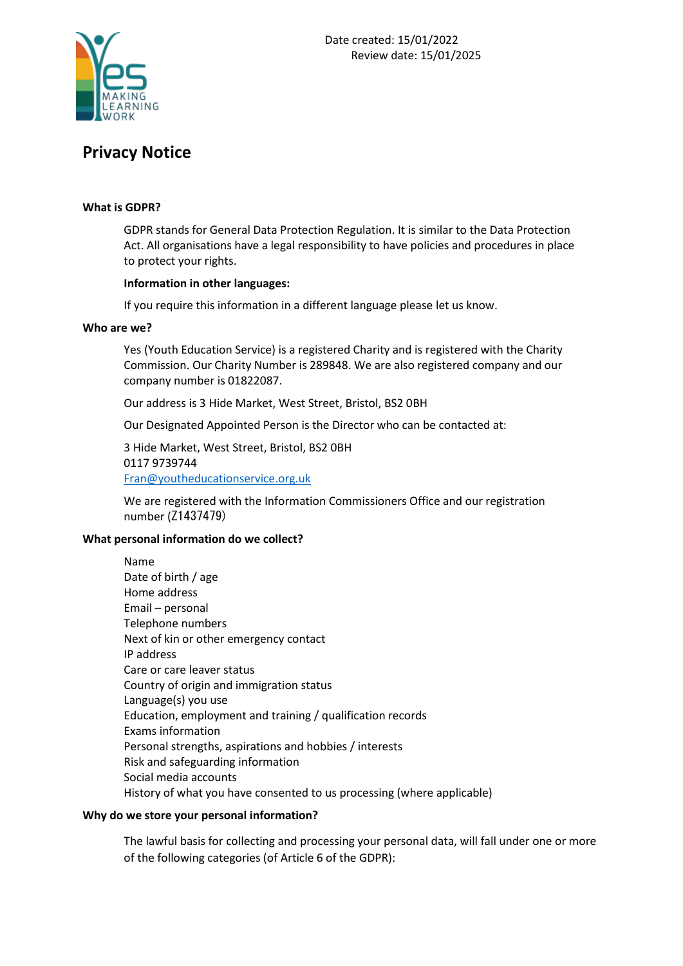

# **Privacy Notice**

## **What is GDPR?**

GDPR stands for General Data Protection Regulation. It is similar to the Data Protection Act. All organisations have a legal responsibility to have policies and procedures in place to protect your rights.

#### **Information in other languages:**

If you require this information in a different language please let us know.

#### **Who are we?**

Yes (Youth Education Service) is a registered Charity and is registered with the Charity Commission. Our Charity Number is 289848. We are also registered company and our company number is 01822087.

Our address is 3 Hide Market, West Street, Bristol, BS2 0BH

Our Designated Appointed Person is the Director who can be contacted at:

3 Hide Market, West Street, Bristol, BS2 0BH 0117 9739744 [Fran@youtheducationservice.org.uk](mailto:Fran@youtheducationservice.org.uk)

We are registered with the Information Commissioners Office and our registration number (Z1437479)

# **What personal information do we collect?**

Name Date of birth / age Home address Email – personal Telephone numbers Next of kin or other emergency contact IP address Care or care leaver status Country of origin and immigration status Language(s) you use Education, employment and training / qualification records Exams information Personal strengths, aspirations and hobbies / interests Risk and safeguarding information Social media accounts History of what you have consented to us processing (where applicable)

# **Why do we store your personal information?**

The lawful basis for collecting and processing your personal data, will fall under one or more of the following categories (of Article 6 of the GDPR):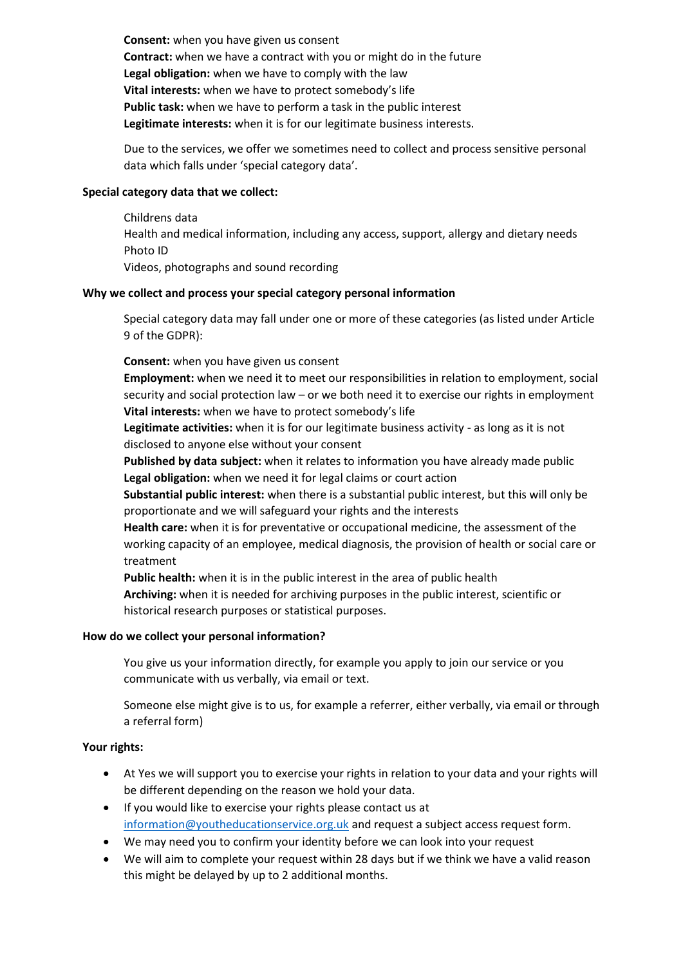**Consent:** when you have given us consent **Contract:** when we have a contract with you or might do in the future **Legal obligation:** when we have to comply with the law **Vital interests:** when we have to protect somebody's life **Public task:** when we have to perform a task in the public interest **Legitimate interests:** when it is for our legitimate business interests.

Due to the services, we offer we sometimes need to collect and process sensitive personal data which falls under 'special category data'.

## **Special category data that we collect:**

Childrens data Health and medical information, including any access, support, allergy and dietary needs Photo ID Videos, photographs and sound recording

#### **Why we collect and process your special category personal information**

Special category data may fall under one or more of these categories (as listed under Article 9 of the GDPR):

#### **Consent:** when you have given us consent

**Employment:** when we need it to meet our responsibilities in relation to employment, social security and social protection law – or we both need it to exercise our rights in employment **Vital interests:** when we have to protect somebody's life

**Legitimate activities:** when it is for our legitimate business activity - as long as it is not disclosed to anyone else without your consent

**Published by data subject:** when it relates to information you have already made public **Legal obligation:** when we need it for legal claims or court action

**Substantial public interest:** when there is a substantial public interest, but this will only be proportionate and we will safeguard your rights and the interests

**Health care:** when it is for preventative or occupational medicine, the assessment of the working capacity of an employee, medical diagnosis, the provision of health or social care or treatment

**Public health:** when it is in the public interest in the area of public health

**Archiving:** when it is needed for archiving purposes in the public interest, scientific or historical research purposes or statistical purposes.

#### **How do we collect your personal information?**

You give us your information directly, for example you apply to join our service or you communicate with us verbally, via email or text.

Someone else might give is to us, for example a referrer, either verbally, via email or through a referral form)

# **Your rights:**

- At Yes we will support you to exercise your rights in relation to your data and your rights will be different depending on the reason we hold your data.
- If you would like to exercise your rights please contact us at [information@youtheducationservice.org.uk](mailto:information@youtheducationservice.org.uk) and request a subject access request form.
- We may need you to confirm your identity before we can look into your request
- We will aim to complete your request within 28 days but if we think we have a valid reason this might be delayed by up to 2 additional months.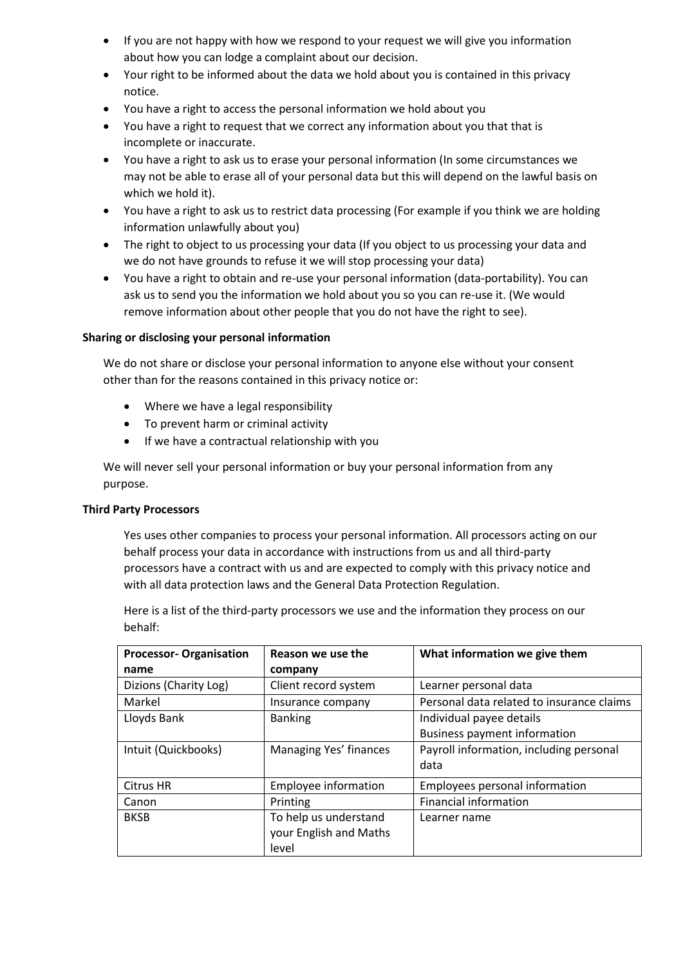- If you are not happy with how we respond to your request we will give you information about how you can lodge a complaint about our decision.
- Your right to be informed about the data we hold about you is contained in this privacy notice.
- You have a right to access the personal information we hold about you
- You have a right to request that we correct any information about you that that is incomplete or inaccurate.
- You have a right to ask us to erase your personal information (In some circumstances we may not be able to erase all of your personal data but this will depend on the lawful basis on which we hold it).
- You have a right to ask us to restrict data processing (For example if you think we are holding information unlawfully about you)
- The right to object to us processing your data (If you object to us processing your data and we do not have grounds to refuse it we will stop processing your data)
- You have a right to obtain and re-use your personal information (data-portability). You can ask us to send you the information we hold about you so you can re-use it. (We would remove information about other people that you do not have the right to see).

# **Sharing or disclosing your personal information**

We do not share or disclose your personal information to anyone else without your consent other than for the reasons contained in this privacy notice or:

- Where we have a legal responsibility
- To prevent harm or criminal activity
- If we have a contractual relationship with you

We will never sell your personal information or buy your personal information from any purpose.

# **Third Party Processors**

Yes uses other companies to process your personal information. All processors acting on our behalf process your data in accordance with instructions from us and all third-party processors have a contract with us and are expected to comply with this privacy notice and with all data protection laws and the General Data Protection Regulation.

Here is a list of the third-party processors we use and the information they process on our behalf:

| <b>Processor- Organisation</b> | Reason we use the      | What information we give them             |
|--------------------------------|------------------------|-------------------------------------------|
| name                           | company                |                                           |
| Dizions (Charity Log)          | Client record system   | Learner personal data                     |
| Markel                         | Insurance company      | Personal data related to insurance claims |
| Lloyds Bank                    | <b>Banking</b>         | Individual payee details                  |
|                                |                        | <b>Business payment information</b>       |
| Intuit (Quickbooks)            | Managing Yes' finances | Payroll information, including personal   |
|                                |                        | data                                      |
| Citrus HR                      | Employee information   | Employees personal information            |
| Canon                          | Printing               | <b>Financial information</b>              |
| <b>BKSB</b>                    | To help us understand  | Learner name                              |
|                                | your English and Maths |                                           |
|                                | level                  |                                           |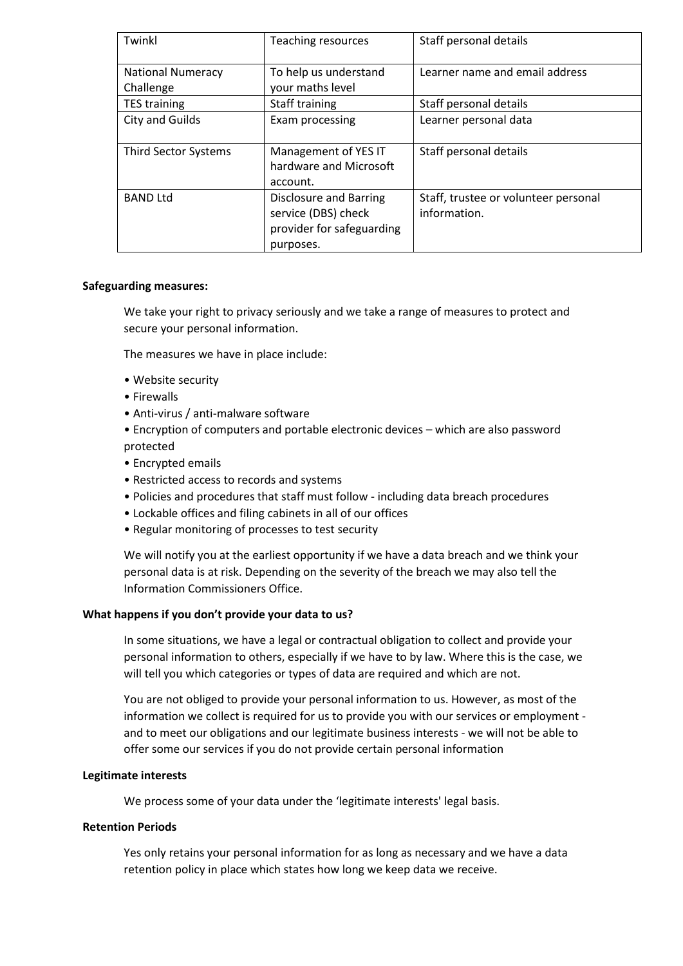| Twinkl                   | Teaching resources                                                                      | Staff personal details                               |
|--------------------------|-----------------------------------------------------------------------------------------|------------------------------------------------------|
| <b>National Numeracy</b> | To help us understand                                                                   | Learner name and email address                       |
| Challenge                | your maths level                                                                        |                                                      |
| <b>TES training</b>      | Staff training                                                                          | Staff personal details                               |
| <b>City and Guilds</b>   | Exam processing                                                                         | Learner personal data                                |
| Third Sector Systems     | Management of YES IT<br>hardware and Microsoft<br>account.                              | Staff personal details                               |
| <b>BAND Ltd</b>          | Disclosure and Barring<br>service (DBS) check<br>provider for safeguarding<br>purposes. | Staff, trustee or volunteer personal<br>information. |

#### **Safeguarding measures:**

We take your right to privacy seriously and we take a range of measures to protect and secure your personal information.

The measures we have in place include:

- Website security
- Firewalls
- Anti-virus / anti-malware software
- Encryption of computers and portable electronic devices which are also password protected
- Encrypted emails
- Restricted access to records and systems
- Policies and procedures that staff must follow including data breach procedures
- Lockable offices and filing cabinets in all of our offices
- Regular monitoring of processes to test security

We will notify you at the earliest opportunity if we have a data breach and we think your personal data is at risk. Depending on the severity of the breach we may also tell the Information Commissioners Office.

# **What happens if you don't provide your data to us?**

In some situations, we have a legal or contractual obligation to collect and provide your personal information to others, especially if we have to by law. Where this is the case, we will tell you which categories or types of data are required and which are not.

You are not obliged to provide your personal information to us. However, as most of the information we collect is required for us to provide you with our services or employment and to meet our obligations and our legitimate business interests - we will not be able to offer some our services if you do not provide certain personal information

# **Legitimate interests**

We process some of your data under the 'legitimate interests' legal basis.

#### **Retention Periods**

Yes only retains your personal information for as long as necessary and we have a data retention policy in place which states how long we keep data we receive.